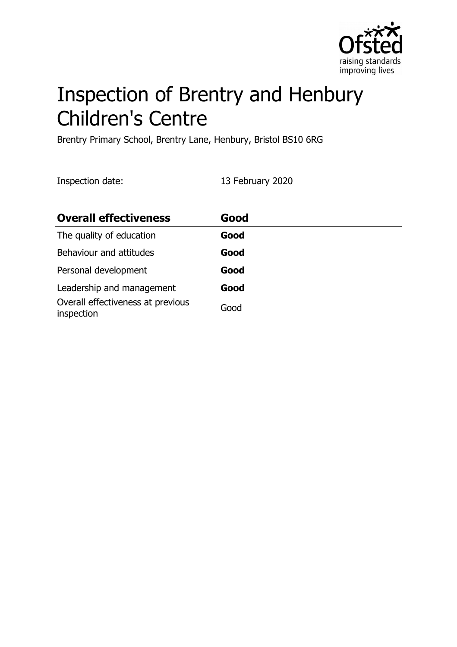

# Inspection of Brentry and Henbury Children's Centre

Brentry Primary School, Brentry Lane, Henbury, Bristol BS10 6RG

Inspection date: 13 February 2020

| <b>Overall effectiveness</b>                    | Good |
|-------------------------------------------------|------|
| The quality of education                        | Good |
| Behaviour and attitudes                         | Good |
| Personal development                            | Good |
| Leadership and management                       | Good |
| Overall effectiveness at previous<br>inspection | Good |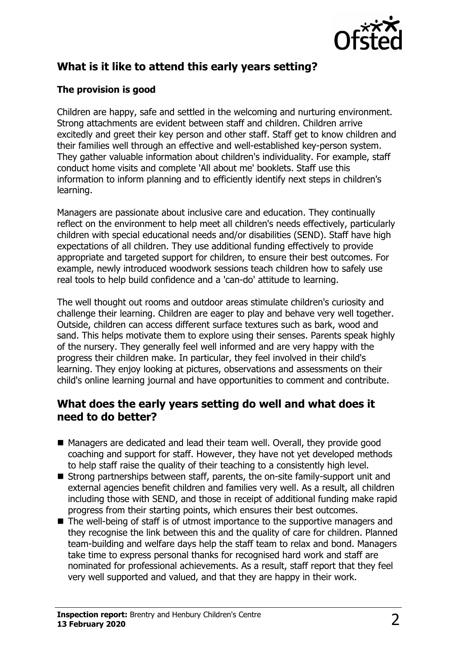

# **What is it like to attend this early years setting?**

#### **The provision is good**

Children are happy, safe and settled in the welcoming and nurturing environment. Strong attachments are evident between staff and children. Children arrive excitedly and greet their key person and other staff. Staff get to know children and their families well through an effective and well-established key-person system. They gather valuable information about children's individuality. For example, staff conduct home visits and complete 'All about me' booklets. Staff use this information to inform planning and to efficiently identify next steps in children's learning.

Managers are passionate about inclusive care and education. They continually reflect on the environment to help meet all children's needs effectively, particularly children with special educational needs and/or disabilities (SEND). Staff have high expectations of all children. They use additional funding effectively to provide appropriate and targeted support for children, to ensure their best outcomes. For example, newly introduced woodwork sessions teach children how to safely use real tools to help build confidence and a 'can-do' attitude to learning.

The well thought out rooms and outdoor areas stimulate children's curiosity and challenge their learning. Children are eager to play and behave very well together. Outside, children can access different surface textures such as bark, wood and sand. This helps motivate them to explore using their senses. Parents speak highly of the nursery. They generally feel well informed and are very happy with the progress their children make. In particular, they feel involved in their child's learning. They enjoy looking at pictures, observations and assessments on their child's online learning journal and have opportunities to comment and contribute.

## **What does the early years setting do well and what does it need to do better?**

- Managers are dedicated and lead their team well. Overall, they provide good coaching and support for staff. However, they have not yet developed methods to help staff raise the quality of their teaching to a consistently high level.
- $\blacksquare$  Strong partnerships between staff, parents, the on-site family-support unit and external agencies benefit children and families very well. As a result, all children including those with SEND, and those in receipt of additional funding make rapid progress from their starting points, which ensures their best outcomes.
- $\blacksquare$  The well-being of staff is of utmost importance to the supportive managers and they recognise the link between this and the quality of care for children. Planned team-building and welfare days help the staff team to relax and bond. Managers take time to express personal thanks for recognised hard work and staff are nominated for professional achievements. As a result, staff report that they feel very well supported and valued, and that they are happy in their work.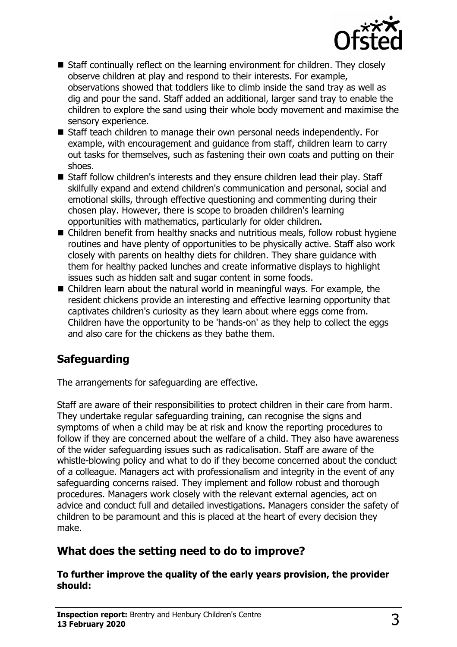

- $\blacksquare$  Staff continually reflect on the learning environment for children. They closely observe children at play and respond to their interests. For example, observations showed that toddlers like to climb inside the sand tray as well as dig and pour the sand. Staff added an additional, larger sand tray to enable the children to explore the sand using their whole body movement and maximise the sensory experience.
- Staff teach children to manage their own personal needs independently. For example, with encouragement and guidance from staff, children learn to carry out tasks for themselves, such as fastening their own coats and putting on their shoes.
- Staff follow children's interests and they ensure children lead their play. Staff skilfully expand and extend children's communication and personal, social and emotional skills, through effective questioning and commenting during their chosen play. However, there is scope to broaden children's learning opportunities with mathematics, particularly for older children.
- $\blacksquare$  Children benefit from healthy snacks and nutritious meals, follow robust hygiene routines and have plenty of opportunities to be physically active. Staff also work closely with parents on healthy diets for children. They share guidance with them for healthy packed lunches and create informative displays to highlight issues such as hidden salt and sugar content in some foods.
- $\blacksquare$  Children learn about the natural world in meaningful ways. For example, the resident chickens provide an interesting and effective learning opportunity that captivates children's curiosity as they learn about where eggs come from. Children have the opportunity to be 'hands-on' as they help to collect the eggs and also care for the chickens as they bathe them.

# **Safeguarding**

The arrangements for safeguarding are effective.

Staff are aware of their responsibilities to protect children in their care from harm. They undertake regular safeguarding training, can recognise the signs and symptoms of when a child may be at risk and know the reporting procedures to follow if they are concerned about the welfare of a child. They also have awareness of the wider safeguarding issues such as radicalisation. Staff are aware of the whistle-blowing policy and what to do if they become concerned about the conduct of a colleague. Managers act with professionalism and integrity in the event of any safeguarding concerns raised. They implement and follow robust and thorough procedures. Managers work closely with the relevant external agencies, act on advice and conduct full and detailed investigations. Managers consider the safety of children to be paramount and this is placed at the heart of every decision they make.

## **What does the setting need to do to improve?**

#### **To further improve the quality of the early years provision, the provider should:**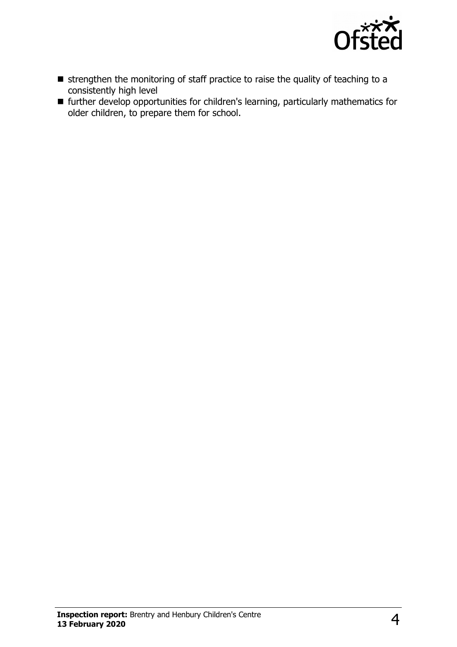

- $\blacksquare$  strengthen the monitoring of staff practice to raise the quality of teaching to a consistently high level
- further develop opportunities for children's learning, particularly mathematics for older children, to prepare them for school.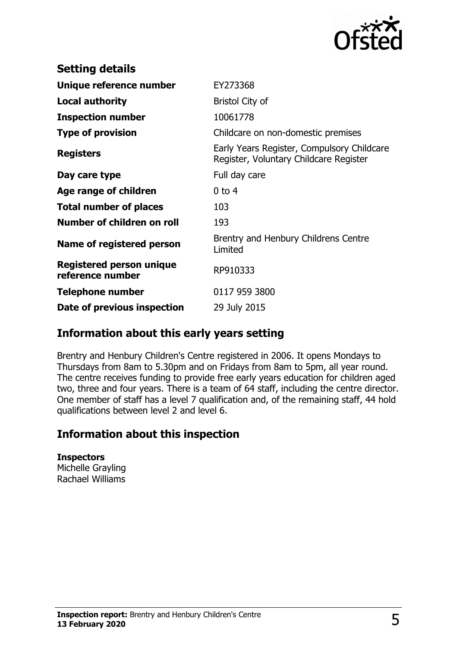

| <b>Setting details</b>                              |                                                                                      |
|-----------------------------------------------------|--------------------------------------------------------------------------------------|
| Unique reference number                             | EY273368                                                                             |
| <b>Local authority</b>                              | Bristol City of                                                                      |
| <b>Inspection number</b>                            | 10061778                                                                             |
| <b>Type of provision</b>                            | Childcare on non-domestic premises                                                   |
| <b>Registers</b>                                    | Early Years Register, Compulsory Childcare<br>Register, Voluntary Childcare Register |
| Day care type                                       | Full day care                                                                        |
| Age range of children                               | $0$ to 4                                                                             |
| <b>Total number of places</b>                       | 103                                                                                  |
| Number of children on roll                          | 193                                                                                  |
| Name of registered person                           | Brentry and Henbury Childrens Centre<br>Limited                                      |
| <b>Registered person unique</b><br>reference number | RP910333                                                                             |
| <b>Telephone number</b>                             | 0117 959 3800                                                                        |
| Date of previous inspection                         | 29 July 2015                                                                         |

## **Information about this early years setting**

Brentry and Henbury Children's Centre registered in 2006. It opens Mondays to Thursdays from 8am to 5.30pm and on Fridays from 8am to 5pm, all year round. The centre receives funding to provide free early years education for children aged two, three and four years. There is a team of 64 staff, including the centre director. One member of staff has a level 7 qualification and, of the remaining staff, 44 hold qualifications between level 2 and level 6.

## **Information about this inspection**

**Inspectors** Michelle Grayling Rachael Williams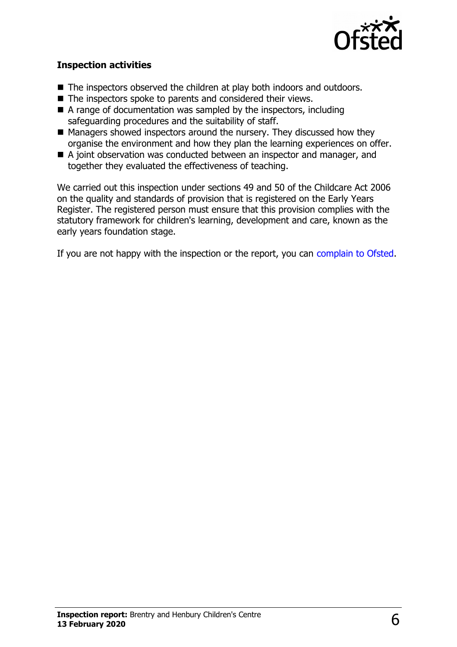

#### **Inspection activities**

- The inspectors observed the children at play both indoors and outdoors.
- $\blacksquare$  The inspectors spoke to parents and considered their views.
- $\blacksquare$  A range of documentation was sampled by the inspectors, including safeguarding procedures and the suitability of staff.
- $\blacksquare$  Managers showed inspectors around the nursery. They discussed how they organise the environment and how they plan the learning experiences on offer.
- A joint observation was conducted between an inspector and manager, and together they evaluated the effectiveness of teaching.

We carried out this inspection under sections 49 and 50 of the Childcare Act 2006 on the quality and standards of provision that is registered on the Early Years Register. The registered person must ensure that this provision complies with the statutory framework for children's learning, development and care, known as the early years foundation stage.

If you are not happy with the inspection or the report, you can [complain to Ofsted.](http://www.gov.uk/complain-ofsted-report)